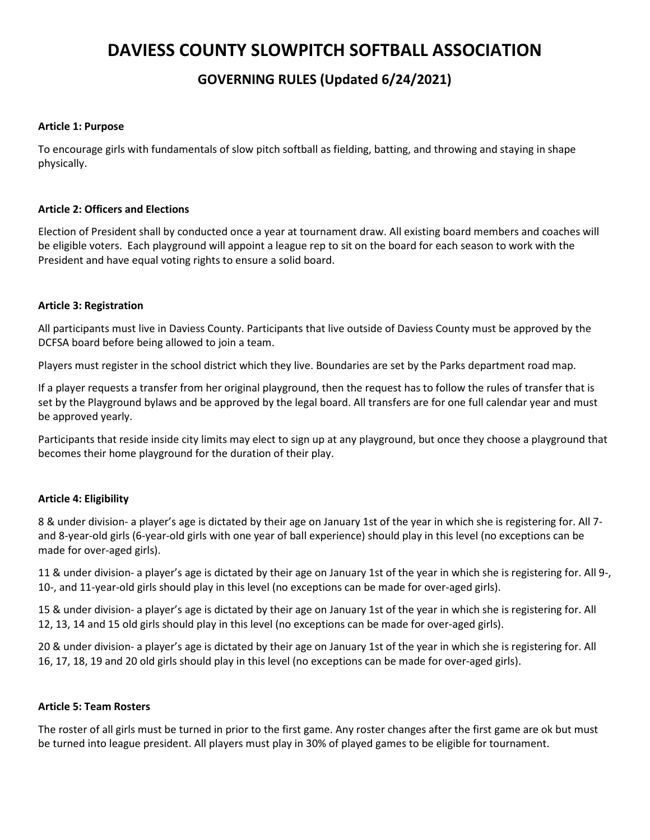# **DAVIESS COUNTY SLOWPITCH SOFTBALL ASSOCIATION**

# **GOVERNING RULES (Updated 6/24/2021)**

# **Article 1: Purpose**

To encourage girls with fundamentals of slow pitch softball as fielding, batting, and throwing and staying in shape physically.

# **Article 2: Officers and Elections**

Election of President shall by conducted once a year at tournament draw. All existing board members and coaches will be eligible voters. Each playground will appoint a league rep to sit on the board for each season to work with the President and have equal voting rights to ensure a solid board.

# **Article 3: Registration**

All participants must live in Daviess County. Participants that live outside of Daviess County must be approved by the DCFSA board before being allowed to join a team.

Players must register in the school district which they live. Boundaries are set by the Parks department road map.

If a player requests a transfer from her original playground, then the request has to follow the rules of transfer that is set by the Playground bylaws and be approved by the legal board. All transfers are for one full calendar year and must be approved yearly.

Participants that reside inside city limits may elect to sign up at any playground, but once they choose a playground that becomes their home playground for the duration of their play.

# **Article 4: Eligibility**

8 & under division- a player's age is dictated by their age on January 1st of the year in which she is registering for. All 7 and 8-year-old girls (6-year-old girls with one year of ball experience) should play in this level (no exceptions can be made for over-aged girls).

11 & under division- a player's age is dictated by their age on January 1st of the year in which she is registering for. All 9-, 10-, and 11-year-old girls should play in this level (no exceptions can be made for over-aged girls).

15 & under division- a player's age is dictated by their age on January 1st of the year in which she is registering for. All 12, 13, 14 and 15 old girls should play in this level (no exceptions can be made for over-aged girls).

20 & under division- a player's age is dictated by their age on January 1st of the year in which she is registering for. All 16, 17, 18, 19 and 20 old girls should play in this level (no exceptions can be made for over-aged girls).

#### **Article 5: Team Rosters**

The roster of all girls must be turned in prior to the first game. Any roster changes after the first game are ok but must be turned into league president. All players must play in 30% of played games to be eligible for tournament.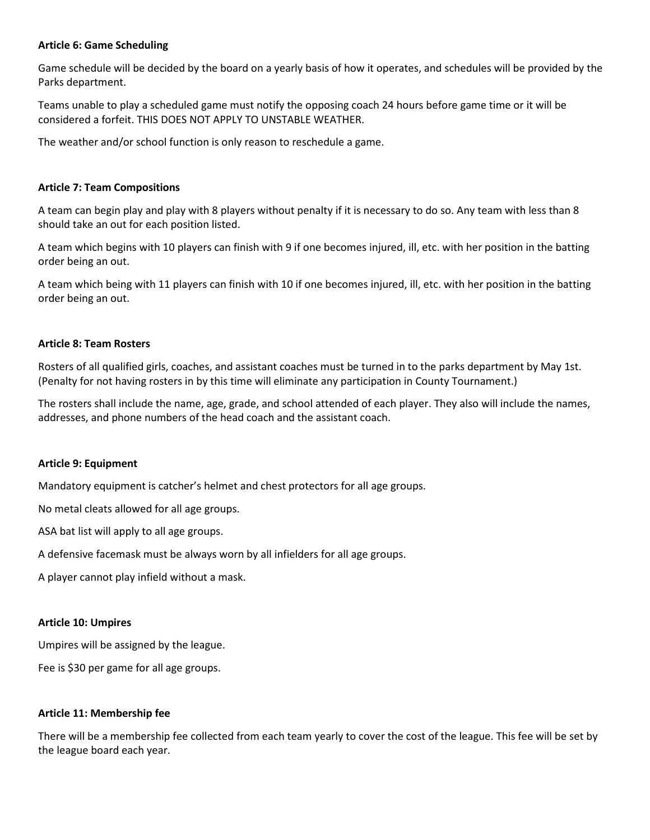# **Article 6: Game Scheduling**

Game schedule will be decided by the board on a yearly basis of how it operates, and schedules will be provided by the Parks department.

Teams unable to play a scheduled game must notify the opposing coach 24 hours before game time or it will be considered a forfeit. THIS DOES NOT APPLY TO UNSTABLE WEATHER.

The weather and/or school function is only reason to reschedule a game.

# **Article 7: Team Compositions**

A team can begin play and play with 8 players without penalty if it is necessary to do so. Any team with less than 8 should take an out for each position listed.

A team which begins with 10 players can finish with 9 if one becomes injured, ill, etc. with her position in the batting order being an out.

A team which being with 11 players can finish with 10 if one becomes injured, ill, etc. with her position in the batting order being an out.

# **Article 8: Team Rosters**

Rosters of all qualified girls, coaches, and assistant coaches must be turned in to the parks department by May 1st. (Penalty for not having rosters in by this time will eliminate any participation in County Tournament.)

The rosters shall include the name, age, grade, and school attended of each player. They also will include the names, addresses, and phone numbers of the head coach and the assistant coach.

#### **Article 9: Equipment**

Mandatory equipment is catcher's helmet and chest protectors for all age groups.

No metal cleats allowed for all age groups.

ASA bat list will apply to all age groups.

A defensive facemask must be always worn by all infielders for all age groups.

A player cannot play infield without a mask.

#### **Article 10: Umpires**

Umpires will be assigned by the league.

Fee is \$30 per game for all age groups.

#### **Article 11: Membership fee**

There will be a membership fee collected from each team yearly to cover the cost of the league. This fee will be set by the league board each year.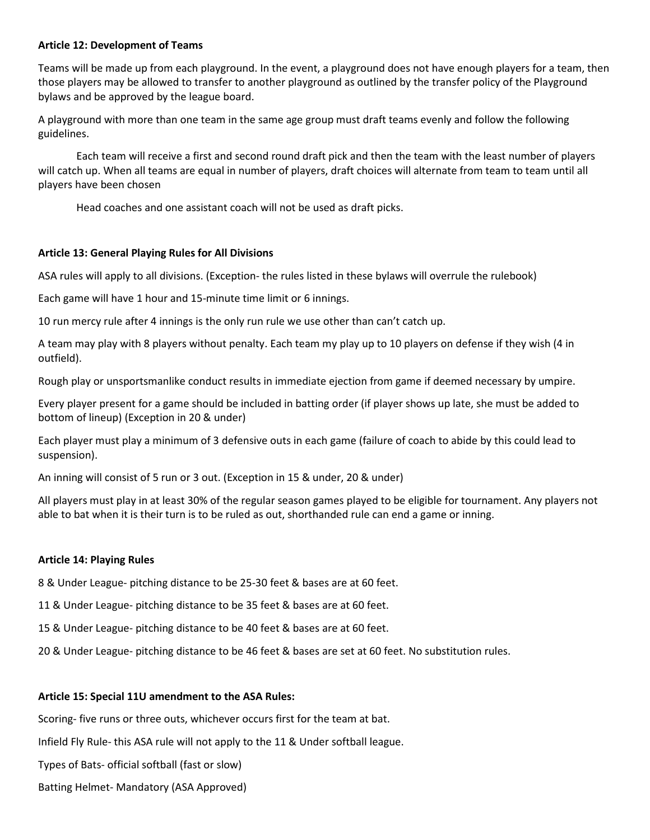# **Article 12: Development of Teams**

Teams will be made up from each playground. In the event, a playground does not have enough players for a team, then those players may be allowed to transfer to another playground as outlined by the transfer policy of the Playground bylaws and be approved by the league board.

A playground with more than one team in the same age group must draft teams evenly and follow the following guidelines.

Each team will receive a first and second round draft pick and then the team with the least number of players will catch up. When all teams are equal in number of players, draft choices will alternate from team to team until all players have been chosen

Head coaches and one assistant coach will not be used as draft picks.

# **Article 13: General Playing Rules for All Divisions**

ASA rules will apply to all divisions. (Exception- the rules listed in these bylaws will overrule the rulebook)

Each game will have 1 hour and 15-minute time limit or 6 innings.

10 run mercy rule after 4 innings is the only run rule we use other than can't catch up.

A team may play with 8 players without penalty. Each team my play up to 10 players on defense if they wish (4 in outfield).

Rough play or unsportsmanlike conduct results in immediate ejection from game if deemed necessary by umpire.

Every player present for a game should be included in batting order (if player shows up late, she must be added to bottom of lineup) (Exception in 20 & under)

Each player must play a minimum of 3 defensive outs in each game (failure of coach to abide by this could lead to suspension).

An inning will consist of 5 run or 3 out. (Exception in 15 & under, 20 & under)

All players must play in at least 30% of the regular season games played to be eligible for tournament. Any players not able to bat when it is their turn is to be ruled as out, shorthanded rule can end a game or inning.

#### **Article 14: Playing Rules**

8 & Under League- pitching distance to be 25-30 feet & bases are at 60 feet.

11 & Under League- pitching distance to be 35 feet & bases are at 60 feet.

15 & Under League- pitching distance to be 40 feet & bases are at 60 feet.

20 & Under League- pitching distance to be 46 feet & bases are set at 60 feet. No substitution rules.

#### **Article 15: Special 11U amendment to the ASA Rules:**

Scoring- five runs or three outs, whichever occurs first for the team at bat.

Infield Fly Rule- this ASA rule will not apply to the 11 & Under softball league.

Types of Bats- official softball (fast or slow)

Batting Helmet- Mandatory (ASA Approved)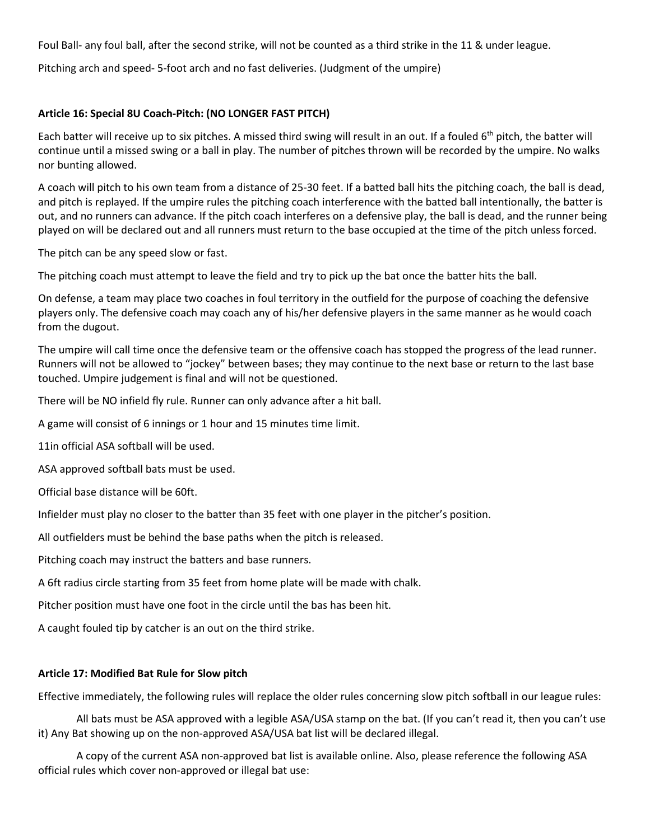Foul Ball- any foul ball, after the second strike, will not be counted as a third strike in the 11 & under league.

Pitching arch and speed- 5-foot arch and no fast deliveries. (Judgment of the umpire)

# **Article 16: Special 8U Coach-Pitch: (NO LONGER FAST PITCH)**

Each batter will receive up to six pitches. A missed third swing will result in an out. If a fouled  $6<sup>th</sup>$  pitch, the batter will continue until a missed swing or a ball in play. The number of pitches thrown will be recorded by the umpire. No walks nor bunting allowed.

A coach will pitch to his own team from a distance of 25-30 feet. If a batted ball hits the pitching coach, the ball is dead, and pitch is replayed. If the umpire rules the pitching coach interference with the batted ball intentionally, the batter is out, and no runners can advance. If the pitch coach interferes on a defensive play, the ball is dead, and the runner being played on will be declared out and all runners must return to the base occupied at the time of the pitch unless forced.

The pitch can be any speed slow or fast.

The pitching coach must attempt to leave the field and try to pick up the bat once the batter hits the ball.

On defense, a team may place two coaches in foul territory in the outfield for the purpose of coaching the defensive players only. The defensive coach may coach any of his/her defensive players in the same manner as he would coach from the dugout.

The umpire will call time once the defensive team or the offensive coach has stopped the progress of the lead runner. Runners will not be allowed to "jockey" between bases; they may continue to the next base or return to the last base touched. Umpire judgement is final and will not be questioned.

There will be NO infield fly rule. Runner can only advance after a hit ball.

A game will consist of 6 innings or 1 hour and 15 minutes time limit.

11in official ASA softball will be used.

ASA approved softball bats must be used.

Official base distance will be 60ft.

Infielder must play no closer to the batter than 35 feet with one player in the pitcher's position.

All outfielders must be behind the base paths when the pitch is released.

Pitching coach may instruct the batters and base runners.

A 6ft radius circle starting from 35 feet from home plate will be made with chalk.

Pitcher position must have one foot in the circle until the bas has been hit.

A caught fouled tip by catcher is an out on the third strike.

#### **Article 17: Modified Bat Rule for Slow pitch**

Effective immediately, the following rules will replace the older rules concerning slow pitch softball in our league rules:

 All bats must be ASA approved with a legible ASA/USA stamp on the bat. (If you can't read it, then you can't use it) Any Bat showing up on the non-approved ASA/USA bat list will be declared illegal.

A copy of the current ASA non-approved bat list is available online. Also, please reference the following ASA official rules which cover non-approved or illegal bat use: